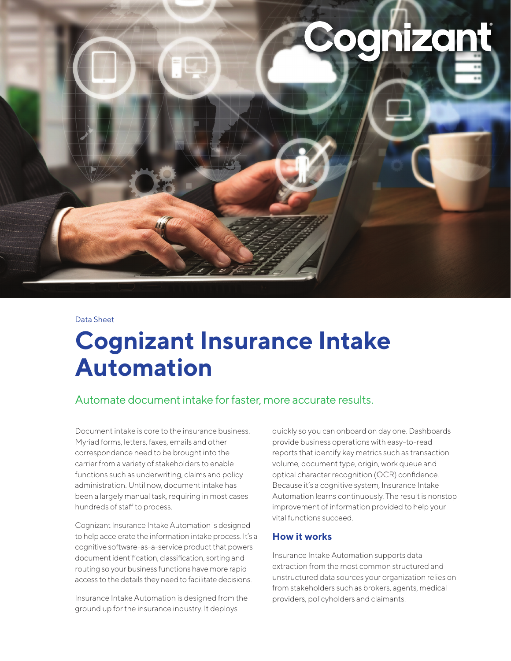**inizant** 

#### Data Sheet

# **Cognizant Insurance Intake Automation**

# Automate document intake for faster, more accurate results.

Document intake is core to the insurance business. Myriad forms, letters, faxes, emails and other correspondence need to be brought into the carrier from a variety of stakeholders to enable functions such as underwriting, claims and policy administration. Until now, document intake has been a largely manual task, requiring in most cases hundreds of staff to process.

Cognizant Insurance Intake Automation is designed to help accelerate the information intake process. It's a cognitive software-as-a-service product that powers document identification, classification, sorting and routing so your business functions have more rapid access to the details they need to facilitate decisions.

Insurance Intake Automation is designed from the ground up for the insurance industry. It deploys

quickly so you can onboard on day one. Dashboards provide business operations with easy-to-read reports that identify key metrics such as transaction volume, document type, origin, work queue and optical character recognition (OCR) confidence. Because it's a cognitive system, Insurance Intake Automation learns continuously. The result is nonstop improvement of information provided to help your vital functions succeed.

### **How it works**

Insurance Intake Automation supports data extraction from the most common structured and unstructured data sources your organization relies on from stakeholders such as brokers, agents, medical providers, policyholders and claimants.